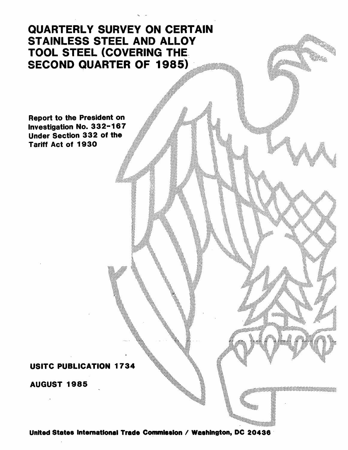# QUARTERLY SURVEY ON CERTAIN STAINLESS STEEL AND ALLOY TOOL STEEL (COVERING THE: SECOND QUARTER OF 1985)

Report to the President on Investigation No. 3 3 2-16 7 Under Section 332 of the Tariff Act of 1930

USITC PUBLICATION 1734

AUGUST 1985

United States International Trade Commission / Washington, DC 20436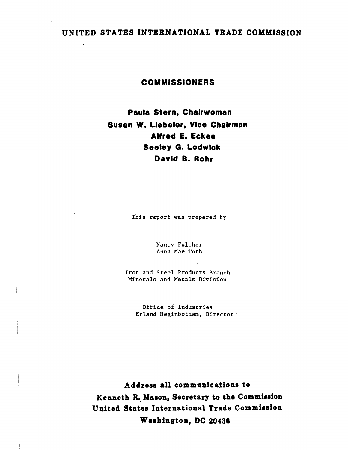# UNITED STATES INTERNATIONAL TRADE COMMISSION

## COMMISSIONERS

Paula Stern, Chairwoman Susan W. Llebeler, Vice Chairman . Alfred E. Eckes Seeley G. Lodwick David B. Rohr

This report was prepared by

Nancy Fulcher Anna Mae Toth

Iron and Steel Products Branch Minerals and Metals Division

Office of Industries Erland Heginbotham, Director ·

Address all communications to Kenneth R. Mason, Secretary to the Commission United States International Trade Commission W aahington, DC 20436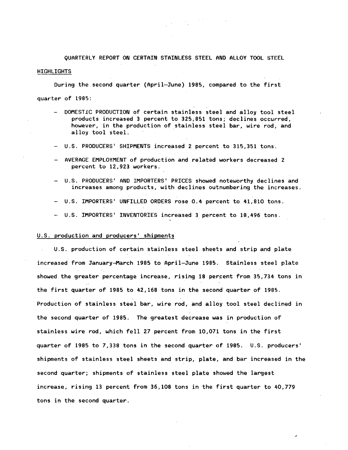QUARTERLY REPORT ON CERTAIN STAINLESS STEEL AND ALLOY TOOL STEEL **HIGHLIGHTS** 

 $\label{eq:2} \frac{1}{2}\sum_{i=1}^n\frac{1}{2}\left(\frac{1}{2}\sum_{i=1}^n\frac{1}{2}\sum_{i=1}^n\frac{1}{2}\right)^2.$ 

During the second quarter (April-June) 1985, compared to the first quarter of 1985:

- DOMESTIC PRODUCTION of certain stainless steel and alloy tool steel products increased 3 percent to 325,851 tons; declines occurred, however, in the production of stainless steel bar, wire rod, and alloy tool steel.
- U.S. PRODUCERS' SHIPMENTS increased 2 percent to 315,351 tons.
- AVERAGE EMPLOYMENT of production and related workers decreased 2 percent to 12,923 workers.
- U.S. PRODUCERS' AND IMPORTERS' PRICES showed noteworthy declines and increases among products, with declines outnumbering the increases.
- U.S. IMPORTERS' UNFILLED ORDERS rose 0.4 percent to 41,810 tons.
- U.S. IMPORTERS' INVENTORIES increased 3 percent to 18,496 tons.

#### U.S. production and producers' shipments

U.S. production of certain stainless steel sheets and strip and plate increased from January-March 1985 to April-June 1985. Stainless steel plate showed the greater percentage increase, rising 18 percent from 35,734 tons in the first quarter of 1985 to 42,168 tons in the second quarter of 1985. Production of stainless steel bar, wire rod, and alloy tool steel declined in the second quarter of 1985. The greatest decrease was in production of stainless wire rod, which fell 27 percent from 10,071 tons in the first quarter of 1985 to 7,338 tons in the second quarter of 1985. U.S. producers' shipments of stainless steel sheets and strip, plate, and bar increased in the second quarter; shipments of stainless steel plate showed the largest increase, rising 13 percent from 36,108 tons in the first quarter to 40,779 tons in the second quarter.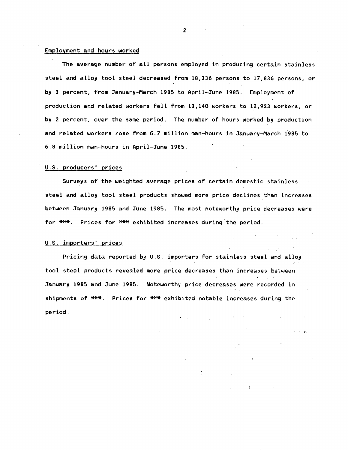#### Employment and hours worked

The average number of all persons employed in producing certain stainless steel and alloy tool steel decreased from 18,336 persons to 17,836 persons, or by 3 percent, from January-March 1985 to April-June 1985.' Employment of production and related workers fell from 13,140 workers to 12,923 workers, or by 2 percent, over the same period. The number of hours worked by production and related workers rose from 6.7 million man-hours in January-March 1°985 to 6.8 million man-hours in April-June 1985.

#### U.S. producers' prices

Surveys of the weighted average prices of certain domestic stainless steel and alloy tool steel products showed more price declines than increases between January 1985 and June 1985. The most noteworthy price decreases were for \*\*\*. Prices for \*\*\* exhibited increases during the period.

#### <sup>~</sup>*.. ?.* importers' prices

Pricing data reported by U.S. importers for stainless steel and alloy tool steel products revealed more price decreases than increases between January 1985 and June 1985. Noteworthy price decreases were recorded in shipments of \*\*\*. Prices for \*\*\* exhibited notable increases during the period.

. .

 $\mathbf{F}$ 

2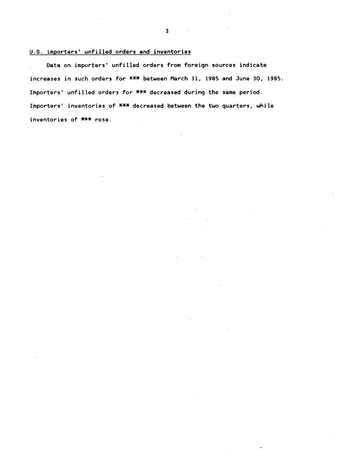## U.S. importers' unfilled orders and inventories

Data on importers' unfilled orders from foreign sources indicate increases in such orders for \*\*\* between March 31, 1985 and June 30, 1985. Importers' unfilled orders for \*\*\* decreased during the same period. Importers' inventories of  $***$  decreased between the two quarters, while inventories of \*\*\* rose.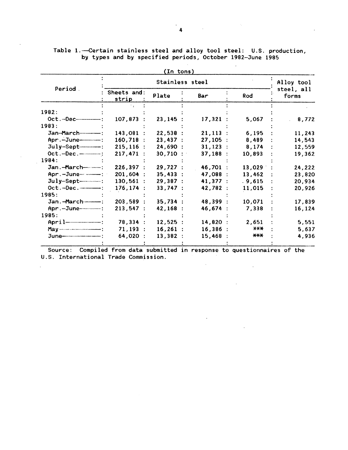Table 1.—Certain stainless steel and alloy tool steel: U.S. production,

| (In tons)                     |                      |            |          |           |                     |  |  |  |  |  |
|-------------------------------|----------------------|------------|----------|-----------|---------------------|--|--|--|--|--|
| Period                        |                      | Alloy tool |          |           |                     |  |  |  |  |  |
|                               | Sheets and:<br>strip | Plate      | Bar      | Rod       | steel, all<br>forms |  |  |  |  |  |
|                               |                      |            |          |           |                     |  |  |  |  |  |
| 1982:                         |                      |            |          |           |                     |  |  |  |  |  |
| $Oct.-Dec$                    | 107,873              | 23,145:    | 17,321:  | 5,067     | 8,772               |  |  |  |  |  |
| 1983:                         |                      |            |          |           |                     |  |  |  |  |  |
|                               | 143,081              | 22,538:    | 21,113:  | 6,195     | 11,243              |  |  |  |  |  |
| Apr. - June--------------     | $160,718$ :          | 23,437:    | 27,105:  | 8,489     | 14,543              |  |  |  |  |  |
|                               | $215, 116$ :         | 24,690:    | 31,123:  | 8,174     | 12,559              |  |  |  |  |  |
| Oct. - Dec. - - - - - - - - : | 217,471:             | $30,710$ : | 37,188:  | 10,893    | 19,362              |  |  |  |  |  |
| 1984:                         |                      |            |          |           |                     |  |  |  |  |  |
| Jan.-March----------          | 226,397:             | 29,727:    | 46,701 : | 13,029    | 24,222              |  |  |  |  |  |
|                               | 201,604:             | 35,433:    | 47,088 : | 13,462    | 23,820              |  |  |  |  |  |
| $July-Sept-\$                 | $130,561$ :          | 29,387:    | 41,377 : | .9,615    | 20,934              |  |  |  |  |  |
| Oct. - Dec. - - - - - - - :   | 176, 174:            | 33,747:    | 42,782 : | 11,015    | 20,926              |  |  |  |  |  |
| 1985:                         |                      |            |          |           |                     |  |  |  |  |  |
|                               | 203,589 :            | 35,734:    | 48,399 : | 10,071    | 17,839              |  |  |  |  |  |
| Apr. - June-------------:     | 213,547:             | 42,168:    | 46,674 : | 7,338     | 16,124              |  |  |  |  |  |
| 1985:                         |                      |            |          |           |                     |  |  |  |  |  |
| $April$ = $-$                 | 78,334 :             | 12,525:    | 14,820:  | 2,651     | 5,551               |  |  |  |  |  |
| $Max$ manufactured and $M$    | 71,193:              | $16,261$ : | 16,386:  | $X$ $X +$ | 5,637               |  |  |  |  |  |
|                               | 64,020 :             | 13,382:    | 15,468   | $***$     | 4,936               |  |  |  |  |  |
|                               |                      |            |          |           |                     |  |  |  |  |  |

 $\sim$ 

 $\mathbb{R}^2$ 

by types and by specified periods, October 1982-June 1985

- Source: Compiled from data submitted in response to questionnaires of the U.S. International Trade Commission.

 $\sim 10^{-1}$ 

 $\sim 10^{-11}$ 

 $\sim 10^{-11}$ 

 $\Delta$ 

 $\mathcal{L}_{\text{max}}$  and  $\mathcal{L}_{\text{max}}$ 

 $\mathcal{L}^{\mathcal{L}}$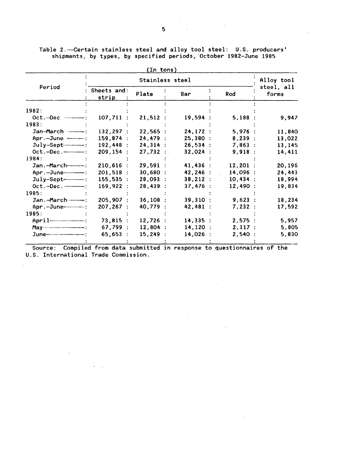|                             |                      | In tons    |            |                        |                     |
|-----------------------------|----------------------|------------|------------|------------------------|---------------------|
| Period                      |                      | Alloy tool |            |                        |                     |
|                             | Sheets and:<br>strip | Plate      | Bar        | Rod                    | steel, all<br>forms |
| 1982:                       |                      |            |            |                        |                     |
| $Oct.-Dec$ ------           | $107,711$ :          | 21,512:    | 19,594:    | 5,188:                 | 9,947               |
| 1983:                       |                      |            |            |                        |                     |
| Jan-March -----------       | $132, 297$ :         | 22,565:    | 24, 172:   | 5,976:                 | 11,840              |
| Apr.-June -----             | 159,874 :            | 24,479:    | 25,380:    | 8,239:                 | 13,022              |
|                             | 192,448:             | 24,314:    | $-26,534:$ | 7,863:                 | 13,145              |
|                             | 209, 154:            | 27,732:    | 32,024:    | 9,918:                 | 14,411              |
| 1984:                       |                      |            |            |                        |                     |
|                             | $210,616$ :          | 29,591:    | 41,436:    | $12,201$ :             | 20,196              |
|                             | 201,518:             | 30,680:    | 42, 246:   | 14,096 :<br>$\sim 100$ | 24,443              |
| $July-Sept-$                | 155,535:             | 28,093:    | 38,212:    | 10,434:                | 18,994              |
| Oct. - Dec. - - - - - - - : | 169,922:             | 28,439:    | 37,476:    | 12,490:                | 19,834              |
| 1985:                       |                      |            |            |                        |                     |
|                             | 205,907:             | 36,108:    | 39,310:    | 9,623:                 | 18,234              |
| Apr. - June--------------:  | 207, 267:            | 40,779:    | 42,481 :   | 7,232:                 | 17,592              |
| 1985:                       |                      |            |            |                        |                     |
|                             | 73,815:              | 12,726:    | 14,335:    | 2,575:                 | 5,957               |
|                             | 67,799:              | $12,804$ : | 14,120:    | 2,117:                 | 5,805               |
|                             | 65,653:              | 15,249:    | 14,026 :   | 2,540:                 | 5,830               |
|                             |                      |            |            |                        |                     |

Table 2.—Certain stainless steel and alloy tool steel: U.S. producers' shipments, by types, by specified periods, October 1982-June 1985

Source: Compiled from data submitted in response to questionnaires of the U.S. International Trade Commission.

 $\mathcal{L}^{\mathcal{L}}$ 

 $\sim 10^{-11}$ 

 $\mathcal{A}=\mathcal{A}$ 

 $\bar{z}$ 

 $\sim 1$ 

 $\mathcal{L}_{\text{max}}$  and  $\mathcal{L}_{\text{max}}$ 

 $\mathcal{A}$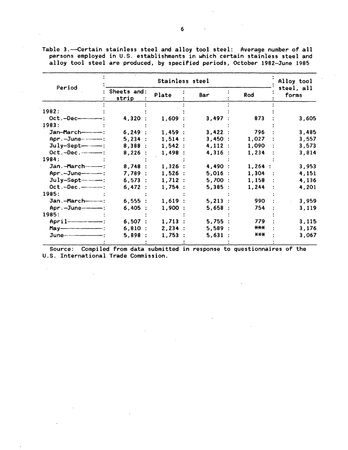|                               |                      | Alloy tool |           |                         |                     |
|-------------------------------|----------------------|------------|-----------|-------------------------|---------------------|
| Period                        | Sheets and:<br>strip | Plate      | Bar       | Rod                     | steel, all<br>forms |
| 1982:                         |                      |            |           |                         |                     |
| $Oct.-Dec$                    | 4,320 :              | 1,609:     | 3,497:    | 873                     | 3,605               |
| 1983:                         |                      |            |           |                         |                     |
| Jan-March-------------        | 6,249:               | 1,459:     | 3,422:    | 796                     | 3,485               |
|                               | 5,234:               | 1,514:     | 3,450:    | 1,027                   | 3,557               |
| $July-Sept .$                 | 8,388:               | 1,542:     | 4,112:    | 1,090                   | 3,573               |
| $Oct.-Dec.\n---:$             | 8,226:               | 1,498:     | 4,316:    | 1,234                   | 3,814               |
| 1984:                         |                      |            |           |                         |                     |
| Jan.-March-----------         | 8,748:               | $1,326$ :  | 4,490 :   | $1,264$ :               | 3,953               |
| Apr.-June-------              | 7,789:               | 1,526:     | $5,016$ : | 1,304<br>$\mathbb{R}^n$ | 4,151               |
|                               | 6,573:               | 1,712:     | 5,700:    | 1,158                   | 4,136               |
| $Oct.-Dec.$ — $$              | 6,472:               | 1,754:     | 5,385:    | 1,244                   | 4,201               |
| 1985:                         |                      |            |           |                         |                     |
| Jan.-March-------------       | 6,555:               | 1,619:     | $5,213$ : | 990                     | 3,959               |
|                               | 6,405:               | $1,900$ :  | 5,658:    | 754                     | 3,119               |
| 1985:                         |                      |            |           |                         |                     |
| April ----------------------- | 6,507:               | $1,713$ :  | 5,755:    | 779                     | 3,115               |
|                               | 6,810:               | 2,234:     | 5,589:    | ***                     | 3,176               |
|                               | 5,898:               | 1,753:     | 5,631     | $X$ $X$ $X$             | 3,067               |
|                               |                      |            |           |                         |                     |

Table 3.--Certain stainless steel and alloy tool steel: Average number of all persons employed in U.S. establishments in which certain stainless steel and alloy tool steel are produced, by specified periods, October 1982-June 1985

Source: Compiled from data submitted in response to questionnaires of the U.S. International Trade Commission.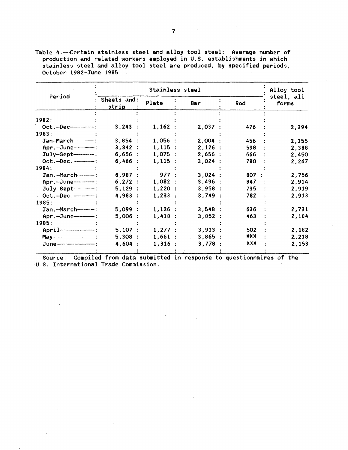Table 4.-Certain stainless steel and alloy tool steel: Average number of production and related workers employed in U.S. establishments in which stainless steel and alloy tool steel are produced, by specified periods, October 1982-June 1985

|                         |                      | Alloy tool |         |       |                     |
|-------------------------|----------------------|------------|---------|-------|---------------------|
| Period                  | Sheets and:<br>strip | Plate      | Bar     | Rod   | steel, all<br>forms |
| 1982:                   |                      |            |         |       |                     |
|                         |                      |            |         |       |                     |
|                         | $3,243$ :            | 1,162:     | 2,037 : | 476   | 2,394               |
| 1983:                   |                      |            |         |       |                     |
| Jan-March------------   | 3,854:               | $1,056$ :  | 2,004:  | 456   | 2,355               |
|                         | 3,842:               | 1,115:     | 2,126:  | 598   | 2,388               |
|                         | 6,656:               | 1,075:     | 2,656:  | 666   | 2,450               |
| $Oct.-Dec.\n---:$       | $6,466$ :            | 1,115:     | 3,024:  | 780   | 2,267               |
| 1984:                   |                      |            |         |       |                     |
| Jan. - March ---------- | 6,987:               | 977:       | 3,024:  | 807:  | 2,756               |
| Apr.-June-----          | 6,272:               | 1,082:     | 3,496:  | 847   | 2,914               |
| $July-Sept-$ :          | 5,129:               | 1,220:     | 3,958:  | 735   | 2,919               |
|                         | 4,983:               | 1,233:     | 3,749:  | 782   | 2,913               |
| 1985:                   |                      |            |         |       |                     |
| Jan.-March------        | 5,099:               | $1,126$ :  | 3,548:  | 636   | 2,731               |
|                         | 5,006:               | 1,418:     | 3,852:  | 463   | 2,184               |
| 1985:                   |                      |            |         |       |                     |
| $A$ pril $-$            | 5,107:               | $1,277$ :  | 3,913:  | 502   | 2,182               |
|                         | 5,308:               | 1,661:     | 3,865:  | $***$ | 2,218               |
|                         | 4,604:               | 1,316:     | 3,778   | $***$ | 2,153               |

Source: Compiled from data submitted in response to questionnaires of the U.S. International Trade Commission.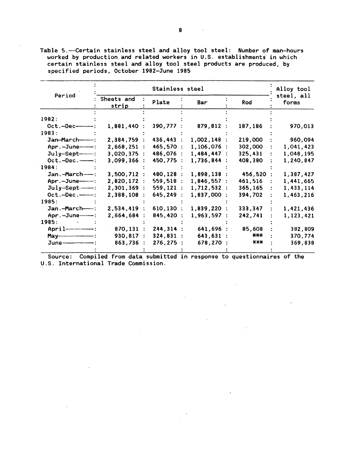Table 5.-Certain stainless steel and alloy tool steel: Number of man-hours worked by production and related workers in U.S. establishments in which certain stainless steel and alloy tool steel products are produced, by specified periods, October 1982-June 1985

|                             |                     |           | Alloy tool  |          |                     |
|-----------------------------|---------------------|-----------|-------------|----------|---------------------|
| Period                      | Sheets and<br>strip | Plate     | Bar         | Rod      | steel, all<br>forms |
|                             |                     |           |             |          |                     |
| 1982:                       |                     |           |             |          |                     |
| $Oct.-Dec$                  | 1,881,440           | 390,777   | 879,812:    | 187,186  | 970,013             |
| 1983:                       |                     |           |             |          |                     |
| Jan-March-                  | 2,384,759           | 436,443   | 1,002,148:  | 219,000  | 960,094             |
| Apr.-June---                | 2,668,251           | 465,570   | 1,106,076 : | 302,000  | 1,041,423           |
| $July-Sept-$ :              | 3,020,375           | 486,076   | 1,484,447:  | 325,431  | 1,048,195           |
| $Oct.-Dec.\n---:$           | 3,099,366           | 450,775   | 1,736,844   | 408,380  | 1,240,847           |
| 1984:                       |                     |           |             |          |                     |
| Jan.-March---               | 3,500,712:          | 480,128   | 1,898,138:  | 456,520: | 1,387,427           |
| Apr.-June---                | 2,820,172           | 559,518   | 1,846,557:  | 461,516  | 1,441,665           |
| July-Sept---                | 2,301,369:          | 559,121   | 1,712,532:  | 365,165  | 1,433,114           |
|                             | 2,388,108           | 645,249   | 1,837,000:  | 394,702  | 1,463,216           |
| 1985:                       |                     |           |             |          |                     |
| Jan.-March-----:            | 2,534,419           | 610,130   | 1,839,220   | 333,347  | 1,421,436           |
| Apr. -- June--------        | 2,664,684           | 845,420   | 1,963,597   | 242,741  | 1,123,421           |
| 1985:                       |                     |           |             |          |                     |
|                             | 870,131             | 244, 314: | 641,696 :   | 85,608   | 382,809             |
| May-contract (May-contract) | 930,817 :           | 324,831:  | 643,631 :   | ***      | 370,774             |
|                             | 863,736             | 276, 275: | 678,270 :   | $***$    | 369,838             |
|                             |                     |           |             |          |                     |

Source: Compiled from data submitted in response to questionnaires of the U.S. International Trade Commission.

 $\mathbb{Z}^2$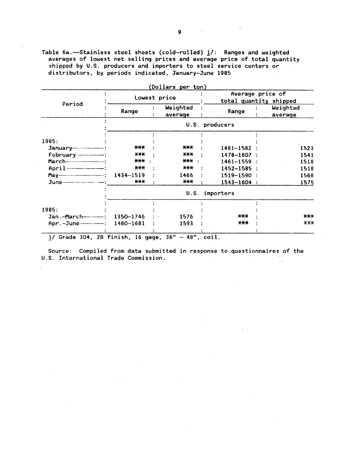Table 6a.-Stainless steel sheets (cold-rolled) 1/: Ranges and weighted averages of lowest net selling prices and average price of total quantity shipped by U.S. producers and importers to steel service centers or distributors, by periods indicated, January-June 1985

|                   | Lowest price |                     |                 | (Dollars per ton)<br>Average price of<br>total quantity shipped |                     |  |
|-------------------|--------------|---------------------|-----------------|-----------------------------------------------------------------|---------------------|--|
| Period            | Range        | Weighted<br>average | Range           |                                                                 | Weighted<br>average |  |
|                   |              |                     | U.S. producers  |                                                                 |                     |  |
|                   |              |                     |                 |                                                                 |                     |  |
| 1985:             |              |                     |                 |                                                                 |                     |  |
|                   | $***$        | ***                 | 1481-1582       |                                                                 | 1523                |  |
|                   | $***$        | $x + x$             | 1478-1607       |                                                                 | 1541                |  |
|                   | ***          | *** :               | 1461-1559       |                                                                 | 1518                |  |
|                   | $***$        | $X+Y$               | 1452-1585       |                                                                 | 1518                |  |
|                   | 1434-1519    | 1466                | 1519-1590       |                                                                 | 1568                |  |
|                   | ***          | $***$               | $1543 - 1604$ : |                                                                 | 1575                |  |
|                   |              |                     | U.S. importers  |                                                                 |                     |  |
|                   |              |                     |                 |                                                                 |                     |  |
| 1985:             |              |                     |                 |                                                                 |                     |  |
|                   | 1350-1746    | 1576                | $***$           |                                                                 | $\star\star\star$   |  |
| Apr.-June-------- | 1460-1681    | 1593                | ***             |                                                                 | X X X               |  |

Source: Compiled from data submitted in response to questionnaires of the U.S. International Trade Commission.  $\sim 10^{-11}$  $\sim$   $\sim$ 

 $\bar{z}$ 

 $\sigma_{\rm{eff}}=2$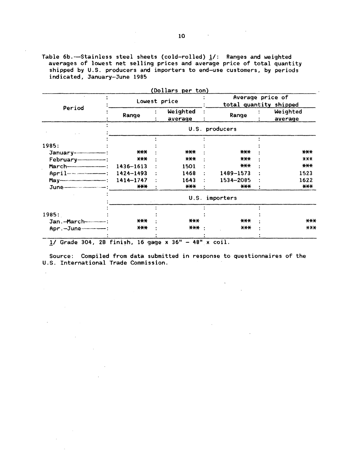Table  $6b$ .--Stainless steel sheets (cold-rolled)  $\underline{\textbf{1}}\textit{/}:$  Ranges and weighted averages of lowest net selling prices and average price of total quantity shipped by U.S. producers and importers to end-use customers, by periods indicated, January-June 1985

 $\sim$ 

 $\overline{a}$ 

 $\mathcal{L}$ 

 $\sim$ 

 $\Delta \sim 10^4$ 

 $\sim 10^{-11}$ 

 $\sim$   $\sim$ 

 $\sim$ 

|                              | Lowest price      |  |                     | (Dollars per ton)<br>Average price of<br>total quantity shipped |  |                     |  |  |  |
|------------------------------|-------------------|--|---------------------|-----------------------------------------------------------------|--|---------------------|--|--|--|
| Period                       | Range             |  | Weighted<br>average | Range                                                           |  | Weighted<br>average |  |  |  |
|                              |                   |  | U.S.                | producers                                                       |  |                     |  |  |  |
|                              |                   |  |                     |                                                                 |  |                     |  |  |  |
| 1985:                        |                   |  |                     |                                                                 |  |                     |  |  |  |
|                              | $***$             |  | $***$               | <b>***</b>                                                      |  | $***$               |  |  |  |
|                              | $***$             |  | $***$               | $***$                                                           |  | X X X               |  |  |  |
|                              | 1436-1613         |  | 1501                | ***                                                             |  | $***$               |  |  |  |
| April 2008 2009: 1424-1493   |                   |  | 1468                | 1489-1573                                                       |  | 1523                |  |  |  |
|                              | 1414-1747         |  | 1643                | 1534-2085                                                       |  | 1622                |  |  |  |
|                              | $***$             |  | $***$               | $***$                                                           |  | ***                 |  |  |  |
|                              | importers<br>U.S. |  |                     |                                                                 |  |                     |  |  |  |
|                              |                   |  |                     |                                                                 |  |                     |  |  |  |
| 1985:                        |                   |  |                     |                                                                 |  |                     |  |  |  |
|                              | $***$             |  | $***$               | ***                                                             |  | $***$               |  |  |  |
| Apr. - June----------------- | $***$             |  | *** :               | $X+X$                                                           |  | AA                  |  |  |  |

 $1/$  Grade 304, 2B finish, 16 gage x 36" - 48" x coil.

Source: Compiled from data submitted in response to questionnaires of the U.S. International Trade Commission.

 $\Delta$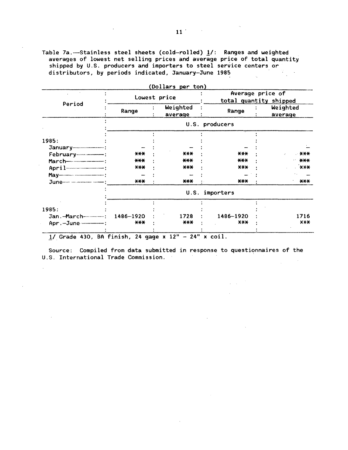Table 7a. --- Stainless steel sheets (cold-rolled) 1/: Ranges and weighted averages of lowest net selling prices and average price of total quantity shipped by U.S. producers and importers to steel service centers or distributors, by periods indicated, January-June 1985

|                             |                   | (Dollars per ton)               |                 |                                            |  |  |  |  |
|-----------------------------|-------------------|---------------------------------|-----------------|--------------------------------------------|--|--|--|--|
|                             |                   | Lowest price                    |                 | Average price of<br>total quantity shipped |  |  |  |  |
| Period                      | Range             | Weighted<br>average             | Range           | Weighted<br>average                        |  |  |  |  |
|                             |                   |                                 | U.S. producers  |                                            |  |  |  |  |
|                             |                   |                                 |                 |                                            |  |  |  |  |
| 1985:                       |                   |                                 |                 |                                            |  |  |  |  |
|                             |                   |                                 |                 |                                            |  |  |  |  |
|                             | $****$            | $***$                           | $***$           | <b>XXX</b>                                 |  |  |  |  |
|                             | $***$             | $***$                           | $***$           | ***                                        |  |  |  |  |
|                             | $***$             | $***$                           | <b>XXX</b>      | $X$ $X$ $X$                                |  |  |  |  |
|                             |                   |                                 |                 |                                            |  |  |  |  |
| June-1000-1000-1000-1000-1  | $***$             | $***$                           | ***             | $***$                                      |  |  |  |  |
|                             | importers<br>U.S. |                                 |                 |                                            |  |  |  |  |
|                             |                   |                                 |                 |                                            |  |  |  |  |
| 1985:                       |                   |                                 |                 |                                            |  |  |  |  |
|                             | 1486-1920         | 1728                            | 1486-1920       | 1716                                       |  |  |  |  |
| Apr. - June - - - - - - - : | $***$             | $***$                           | $X$ $X$ $X$     | X X X                                      |  |  |  |  |
| .                           | $\cdots$<br>. .   | 2.44<br>$\sim$ $\sim$ 10 $\sim$ | $\cdot$ $\cdot$ |                                            |  |  |  |  |

 $1/$  Grade 430, BA finish, 24 gage x  $12'' - 24''$  x coil.

 $\mathbb{R}^2$ 

÷.

 $\mathcal{L}$ 

Source: Compiled from data submitted in response to questionnaires of the U.S. International Trade Commission.  $\label{eq:2.1} \frac{1}{\sqrt{2\pi}}\int_{\mathbb{R}^3} \frac{1}{\sqrt{2\pi}}\left(\frac{1}{\sqrt{2\pi}}\right)^2 \frac{dx}{dx}$ 

 $\sim 10^{-10}$  km s  $^{-1}$ 

 $\sim 10^{-11}$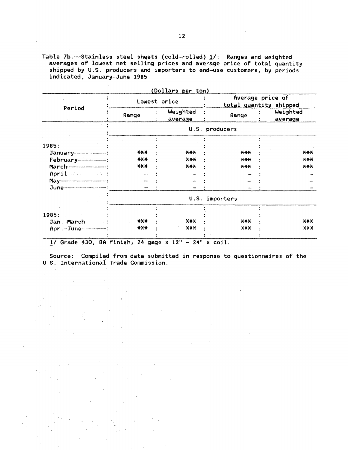Table 7b.--Stainless steel sheets (cold-rolled)  $1/$ : Ranges and weighted averages of lowest net selling prices and average price of total quantity shipped by U.S. producers and importers to end-use customers, by periods indicated, January-June 1985

|                                                       |       | (Dollars per ton)   |                |                                            |  |  |  |
|-------------------------------------------------------|-------|---------------------|----------------|--------------------------------------------|--|--|--|
|                                                       |       | Lowest price        |                | Average price of<br>total quantity shipped |  |  |  |
| <b>Period</b>                                         | Range | Weighted<br>average | Range          | Weighted<br>average                        |  |  |  |
|                                                       |       |                     | U.S. producers |                                            |  |  |  |
|                                                       |       |                     |                |                                            |  |  |  |
| 1985:                                                 | $***$ | $***$               | $***$          | $\star\star\star$                          |  |  |  |
|                                                       | $***$ | X X X               | $***$          | X X X                                      |  |  |  |
|                                                       | $***$ | $***$               | $***$          | $***$                                      |  |  |  |
|                                                       |       |                     |                |                                            |  |  |  |
|                                                       |       |                     |                |                                            |  |  |  |
|                                                       |       |                     |                |                                            |  |  |  |
|                                                       |       |                     | U.S. importers |                                            |  |  |  |
|                                                       |       |                     |                |                                            |  |  |  |
| 1985:                                                 |       |                     |                |                                            |  |  |  |
| Jan.-March--------------                              | $***$ | $***$               | $***$          | $***$                                      |  |  |  |
| Apr. - June---------------                            | $***$ | X X X               | X X X          | X X X                                      |  |  |  |
| Grade 430, BA finish, 24 gage $x$ 12" - 24" $x$ coil. |       |                     |                |                                            |  |  |  |

Source: Compiled from data submitted in response to questionnaires of the U.S. International Trade Commission.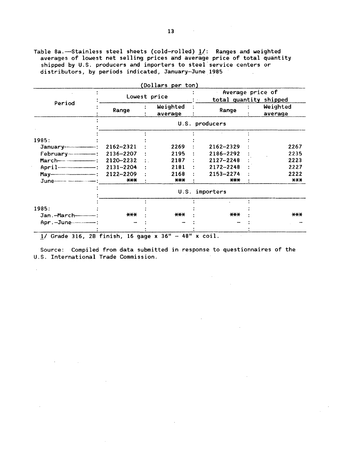Table 8a.—Stainless steel sheets (cold-rolled)  $1/$ : Ranges and weighted averages of lowest net selling prices and average price of total quantity shipped by U.S. producers and importers to steel service centers or distributors, by periods indicated, January-June 1985  $\mathbf{r}$ 

|                           |               | Lowest price        |                | Average price of<br>total quantity shipped |  |  |
|---------------------------|---------------|---------------------|----------------|--------------------------------------------|--|--|
| Period                    | Range         | Weighted<br>average | Range          | Weighted<br>average                        |  |  |
|                           |               |                     | U.S. producers |                                            |  |  |
|                           |               |                     |                |                                            |  |  |
| 1985:                     |               |                     |                |                                            |  |  |
|                           | 2162-2321     | 2269                | 2162-2329      | 2267                                       |  |  |
|                           | 2136-2207     | 2195                | 2186-2292      | 2235                                       |  |  |
|                           | 2120-2232     | 2187                | 2127-2248      | 2223                                       |  |  |
| $April$ $-$               | $2131 - 2204$ | 2181                | 2172-2248      | 2227                                       |  |  |
|                           | 2122-2209     | 2168                | 2153-2274      | 2222                                       |  |  |
|                           | $***$         | $***$               | $***$          | $\star\star\star$                          |  |  |
|                           |               |                     | U.S. importers |                                            |  |  |
|                           |               |                     |                |                                            |  |  |
| 1985:                     | $***$         | $\star\star\star$   | $***$          | $***$                                      |  |  |
| Jan.-March--------------- |               |                     |                |                                            |  |  |
|                           |               |                     |                |                                            |  |  |

Source: Compiled from data submitted in response to questionnaires of the U.S. International Trade Commission.

 $\sim 10^7$ 

 $\sim 10^{-1}$ 

 $\mathcal{L}$ 

 $\sim 10^{11}$  m  $^{-1}$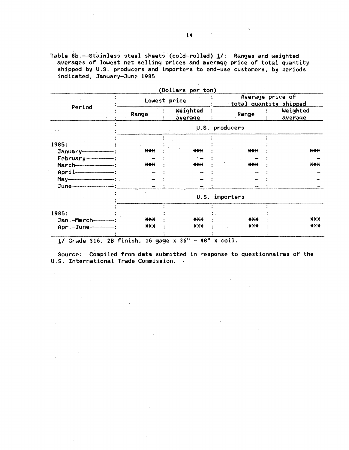Table 8b.—Stainless steel sheets (cold-rolled) 1/: Ranges and weighted averages of lowest net selling prices and average price of total quantity shipped by U.S. producers and importers to end-use customers, by periods indicated, January-June 1985

|                                                                       |       |              | (Dollars per ton)   |                |                                            |                     |  |  |
|-----------------------------------------------------------------------|-------|--------------|---------------------|----------------|--------------------------------------------|---------------------|--|--|
|                                                                       |       | Lowest price |                     |                | Average price of<br>total quantity shipped |                     |  |  |
| Period                                                                | Range |              | Weighted<br>average | Range          |                                            | Weighted<br>average |  |  |
|                                                                       |       |              |                     | U.S. producers |                                            |                     |  |  |
|                                                                       |       |              |                     |                |                                            |                     |  |  |
| 1985:                                                                 |       |              |                     |                |                                            |                     |  |  |
|                                                                       | $***$ |              | $***$               | $***$          |                                            | ***                 |  |  |
| February--------------------                                          |       |              |                     |                |                                            |                     |  |  |
|                                                                       | $***$ |              | $***$               | $***$          |                                            | $***$               |  |  |
|                                                                       |       |              |                     |                |                                            |                     |  |  |
| $May -$ .                                                             |       |              |                     |                |                                            |                     |  |  |
|                                                                       |       |              |                     |                |                                            |                     |  |  |
|                                                                       |       |              |                     | U.S. importers |                                            |                     |  |  |
|                                                                       |       |              |                     |                |                                            |                     |  |  |
| 1985:                                                                 | $***$ |              | $***$               | $***$          |                                            | $***$               |  |  |
| Jan.-March------------                                                | $***$ |              | $***$               | $X+X$          |                                            | $X X +$             |  |  |
| Apr. - June-----------                                                |       |              |                     |                |                                            |                     |  |  |
| Grade 316, 2B finish, 16 gage $x$ 36" - 48" $x$ coil.<br>$1/\sqrt{2}$ |       |              |                     |                |                                            |                     |  |  |

Source: Compiled from data submitted in response to questionnaires of the

 $\mathcal{L}^{\mathcal{L}}$ 

U.S. International Trade Commission.

 $\mathcal{L}^{\mathcal{L}}$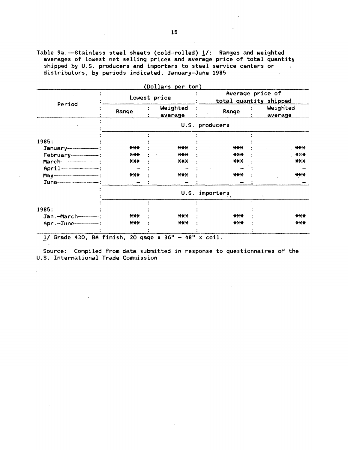Table 9a. -Stainless steel sheets (cold-rolled) 1/: Ranges and weighted averages of lowest net selling prices and average price of total quantity shipped by U.S. producers and importers to steel service centers or distributors, by periods indicated, January-June 1985  $\sim 10$ 

|                                                        |              | Dollars per ton)    |                |                                            |                     |  |  |
|--------------------------------------------------------|--------------|---------------------|----------------|--------------------------------------------|---------------------|--|--|
| Period                                                 | Lowest price |                     |                | Average price of<br>total quantity shipped |                     |  |  |
|                                                        | Range        | Weighted<br>average | Range          |                                            | Weighted<br>average |  |  |
|                                                        |              |                     | U.S. producers |                                            |                     |  |  |
|                                                        |              |                     |                |                                            |                     |  |  |
| 1985:                                                  | $***$        | ***                 | $***$          |                                            | $***$               |  |  |
|                                                        | $***$        | ***                 | X X X          |                                            | $X$ $X$ $X$         |  |  |
|                                                        | $***$        | ***                 | $***$          |                                            | $***$               |  |  |
|                                                        |              |                     |                |                                            |                     |  |  |
| May- <b>contract (May-19)</b>                          | $***$        | ***                 | $***$          |                                            | $***$               |  |  |
|                                                        |              |                     |                |                                            |                     |  |  |
|                                                        |              | U.S.                | importers      |                                            |                     |  |  |
| 1985:                                                  |              |                     |                |                                            |                     |  |  |
| Jan.-March-------------                                | $***$        | $***$               | $***$          |                                            | $***$               |  |  |
|                                                        | $***$        | $X+X$               | $***$          |                                            | $***$               |  |  |
| $1/$ Grade 430, BA finish, 20 gage x 36" - 48" x coil. |              |                     |                |                                            |                     |  |  |

 $(0.11 \overline{\phantom{a}}$ 

 $\sim 10^7$ 

 $\mathcal{A}^{\pm}$ 

 $\mathcal{L}$ 

 $\sim 10^{-10}$ 

Source: Compiled from data submitted in response to questionnaires of the U.S. International Trade Commission.

 $\sim$  .

 $\mathcal{A}_k$ 

 $\sim 10^{11}$ 

 $\sim 10$ 

 $\sim 10^{-10}$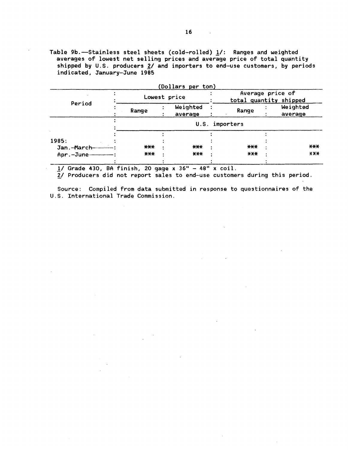Table 9b.-Stainless steel sheets (cold-rolled)  $1/$ : Ranges and weighted averages of lowest net selling prices and average price of total quantity shipped by U.S. producers  $2/$  and importers to end-use customers, by periods indicated, January-June 1985

| Lowest price |  |                     | Average price of<br>total quantity shipped |                |                     |
|--------------|--|---------------------|--------------------------------------------|----------------|---------------------|
| Range        |  | Weighted<br>average | Range                                      |                | Weighted<br>average |
|              |  |                     |                                            |                |                     |
|              |  |                     |                                            |                |                     |
| $***$        |  | $***$               | $***$                                      |                | $***$               |
| $***$        |  | $***$               | $***$                                      |                | <b>XXX</b>          |
|              |  |                     | (Dollars per ton)                          | U.S. importers |                     |

1/ Grade 430, BA finish, 20 gage x 36" - 48" x coil.

2/ Producers did not report sales to end-use customers during this period.

Source: Compiled from data submitted in response to questionnaires of the U.S. International Trade Commission.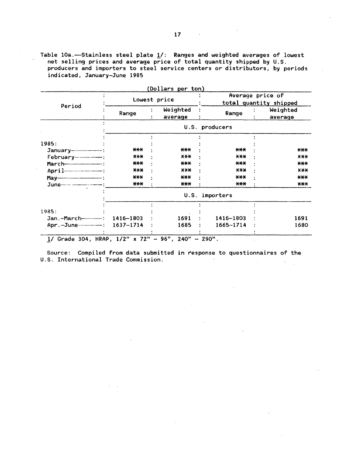Table 10a.-Stainless steel plate 1/: Ranges and weighted averages of lowest net selling prices and average price of total quantity shipped by U.S. producers and importers to steel service centers or distributors, by periods indicated, January-June 1985

|           |                     |             | Average price of<br>total quantity shipped                                                |
|-----------|---------------------|-------------|-------------------------------------------------------------------------------------------|
| Range     | Weighted<br>average | Range       | Weighted<br>average                                                                       |
|           |                     |             |                                                                                           |
|           |                     |             |                                                                                           |
| ***       | $***$               | $***$       | ***                                                                                       |
| $X+Y$     | $\star\star\star$   | $AA +$      | X X X                                                                                     |
| $***$     | ***                 | $***$       | $***$                                                                                     |
| $X+Y$     | $X X +$             | $X$ $X$ $X$ | X X X                                                                                     |
| ***       | ***                 | $***$       | ***                                                                                       |
| $***$     | $***$               | $***$       | $***$                                                                                     |
|           |                     | importers   |                                                                                           |
|           |                     |             |                                                                                           |
|           |                     |             |                                                                                           |
| 1416-1803 | 1691                |             | 1691                                                                                      |
| 1637-1714 | 1685                | 1665-1714   | 1680                                                                                      |
|           |                     |             | U.S. producers<br>U.S.<br>1416-1803<br>1/ Grade 304, HRAP, 1/2" x 72" - 96", 240" - 290". |

Source: Compiled from data submitted in response to questionnaires of the U.S. International Trade Commission.  $\sim 100$ 

 $\mathcal{L}$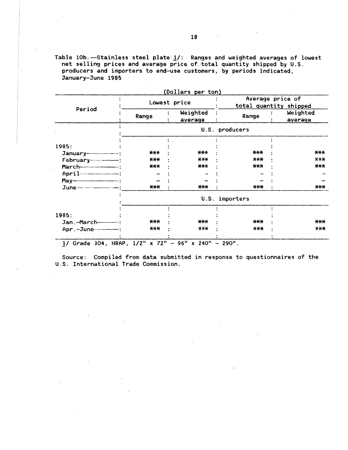Table 10b. -- Stainless steel plate 1/: Ranges and weighted averages of lowest net selling prices and average price of total quantity shipped by U.S. producers and importers to end-use customers, by periods indicated, January-June 1985

| Period                         | Lowest price |                                |                | Average price of<br>total quantity shipped |                     |  |
|--------------------------------|--------------|--------------------------------|----------------|--------------------------------------------|---------------------|--|
|                                | Range        | Weighted<br>average            | Range          |                                            | Weighted<br>average |  |
|                                |              |                                | U.S. producers |                                            |                     |  |
|                                |              |                                |                |                                            |                     |  |
| 1985:                          |              |                                |                |                                            |                     |  |
|                                | $***$        | $***$                          | $***$          |                                            | $***$               |  |
|                                | $***$        | $***$                          | X X X          |                                            | X X X               |  |
|                                | $***$        | $***$                          | $***$          |                                            | $***$               |  |
|                                |              |                                |                |                                            |                     |  |
|                                |              |                                |                |                                            |                     |  |
|                                | $***$        | $***$                          | $***$          |                                            | ***                 |  |
|                                |              |                                | U.S. importers |                                            |                     |  |
|                                |              |                                |                |                                            |                     |  |
| 1985:                          |              |                                |                |                                            |                     |  |
| Jan.-March------------         | $***$        | $***$                          | $***$          |                                            | $***$               |  |
| Apr. - June--------------      | $***$        | $X$ $X$ $X$                    | $***$          |                                            | $X$ $X$ $X$         |  |
| 1/ Grade 304, HRAP, 1/2" x 72" |              | $96"$ x 240"<br>$\overline{a}$ | $-290$ ".      |                                            |                     |  |

Source: Compiled from data submitted in response to questionnaires of the U.S. International Trade Commission.

18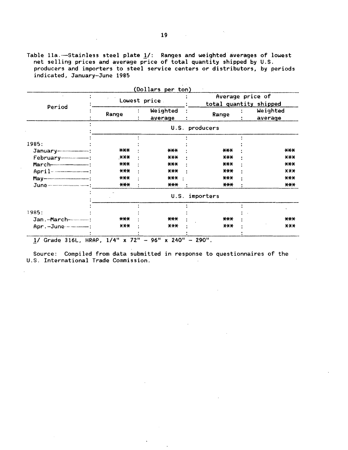Table 11a. -- Stainless steel plate 1/: Ranges and weighted averages of lowest net selling prices and average price of total quantity shipped by U.S. producers and importers to steel service centers or distributors, by periods indicated, January-June 1985

 $\frac{1}{2}$  ,  $\frac{1}{2}$ 

|                                                                                                                                                                                                                                                                         | Lowest price. |  |                     | Average price of<br>total quantity shipped |  |                     |
|-------------------------------------------------------------------------------------------------------------------------------------------------------------------------------------------------------------------------------------------------------------------------|---------------|--|---------------------|--------------------------------------------|--|---------------------|
| Period                                                                                                                                                                                                                                                                  | Range         |  | Weighted<br>average | Range                                      |  | Weighted<br>average |
|                                                                                                                                                                                                                                                                         |               |  |                     | U.S. producers                             |  |                     |
|                                                                                                                                                                                                                                                                         |               |  |                     |                                            |  |                     |
| 1985:                                                                                                                                                                                                                                                                   | $***$         |  | $***$               | $***$                                      |  | $***$               |
|                                                                                                                                                                                                                                                                         | ***           |  | $***$               | $***$                                      |  | X X X               |
|                                                                                                                                                                                                                                                                         | $***$         |  | $***$               | $***$                                      |  | $***$               |
| $April - 2012 - 2012 - 2012 - 2012 - 2012 - 2012 - 2012 - 2012 - 2012 - 2012 - 2012 - 2012 - 2012 - 2012 - 2012 - 2012 - 2012 - 2012 - 2012 - 2012 - 2012 - 2012 - 2012 - 2012 - 2012 - 2012 - 2012 - 2012 - 2012 - 2012 - 2012 - 2012 - 2012 - 2012 - 2012 - 2012 - 2$ | $***$         |  | $***$               | $***$                                      |  | X X X               |
|                                                                                                                                                                                                                                                                         | $***$         |  | $***$               | ***                                        |  | $***$               |
|                                                                                                                                                                                                                                                                         | $***$         |  | ***                 | $***$                                      |  | $***$               |
|                                                                                                                                                                                                                                                                         |               |  | U.S.                | importers                                  |  |                     |
|                                                                                                                                                                                                                                                                         |               |  |                     |                                            |  |                     |
| 1985:                                                                                                                                                                                                                                                                   |               |  |                     |                                            |  |                     |
| Jan.-March------------                                                                                                                                                                                                                                                  | $***$         |  | $***$               | $***$                                      |  | $***$               |
| Apr. - June - - - - - - - - :                                                                                                                                                                                                                                           | $X X +$       |  | $***$               | ***                                        |  | $***$               |

Source: Compiled from data submitted in response to questionnaires of the U.S. International Trade Commission.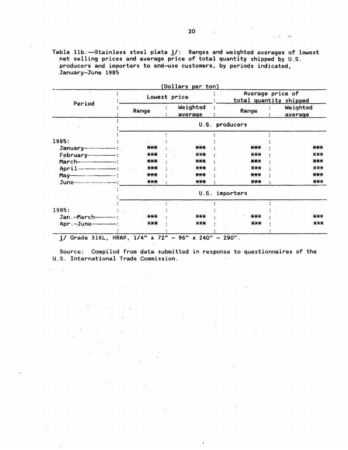Table  $11b$ .-Stainless steel plate  $1/$ : Ranges and weighted averages of lowest net selling prices and average price of total quantity shipped by U.S. producers and importers to end-use customers, by periods indicated, January-June 1995

|                                                                                                                                                                                                                                                                                                                                    |       | (Dollars per ton)   |                                               |                                            |  |  |
|------------------------------------------------------------------------------------------------------------------------------------------------------------------------------------------------------------------------------------------------------------------------------------------------------------------------------------|-------|---------------------|-----------------------------------------------|--------------------------------------------|--|--|
|                                                                                                                                                                                                                                                                                                                                    |       | Lowest price        |                                               | Average price of<br>total quantity shipped |  |  |
| Period                                                                                                                                                                                                                                                                                                                             | Range | Weighted<br>average | Range                                         | Weighted<br>average                        |  |  |
|                                                                                                                                                                                                                                                                                                                                    |       |                     | U.S. producers                                |                                            |  |  |
|                                                                                                                                                                                                                                                                                                                                    |       |                     |                                               |                                            |  |  |
| 1985:                                                                                                                                                                                                                                                                                                                              |       |                     |                                               |                                            |  |  |
|                                                                                                                                                                                                                                                                                                                                    | ***   | $***$               | $***$                                         | $***$                                      |  |  |
|                                                                                                                                                                                                                                                                                                                                    | $***$ | $***$               | $X-X$                                         | X X X                                      |  |  |
|                                                                                                                                                                                                                                                                                                                                    | $***$ | $***$               | $***$                                         | $***$                                      |  |  |
|                                                                                                                                                                                                                                                                                                                                    | $***$ | $***$               | $***$                                         | $***$                                      |  |  |
|                                                                                                                                                                                                                                                                                                                                    | ***   | ***                 | $***$                                         | $***$                                      |  |  |
|                                                                                                                                                                                                                                                                                                                                    | $***$ | ***                 | $***$                                         | $***$                                      |  |  |
|                                                                                                                                                                                                                                                                                                                                    |       | U.S.                | importers                                     |                                            |  |  |
|                                                                                                                                                                                                                                                                                                                                    |       |                     |                                               |                                            |  |  |
| 1985:                                                                                                                                                                                                                                                                                                                              |       |                     |                                               |                                            |  |  |
|                                                                                                                                                                                                                                                                                                                                    | $***$ | $***$               | $***$                                         | $***$                                      |  |  |
| Apr.-June-------                                                                                                                                                                                                                                                                                                                   | $***$ | $***$               | $***$                                         | $X+X$                                      |  |  |
| $\mathbf{a}$ $\mathbf{b}$ $\mathbf{a}$ $\mathbf{b}$ $\mathbf{a}$ $\mathbf{a}$ $\mathbf{a}$ $\mathbf{b}$ $\mathbf{b}$ $\mathbf{b}$ $\mathbf{b}$ $\mathbf{b}$ $\mathbf{b}$ $\mathbf{b}$ $\mathbf{b}$ $\mathbf{b}$ $\mathbf{b}$ $\mathbf{b}$ $\mathbf{b}$ $\mathbf{b}$ $\mathbf{b}$ $\mathbf{b}$ $\mathbf{b}$ $\mathbf{b}$ $\mathbf{$ | 7.01  | 2.001<br>$A + A$ 11 | $\mathbf{A} \mathbf{A} \mathbf{A} \mathbf{B}$ |                                            |  |  |

1/ Grade 316L, HRAP,  $1/4$ <sup>"</sup> x 72" - 96" x 240" - 290".

 $\sim 10^{-12}$ 

 $\mathcal{L}^{\text{max}}_{\text{max}}$  and  $\mathcal{L}^{\text{max}}_{\text{max}}$ 

 $\sim 10^{-11}$ 

 $\frac{1}{2} \left( \frac{1}{2} \right)$ 

 $\sim 10$ 

 $\ddot{\phantom{a}}$ 

Source: Compiled from data submitted in response to questionnaires of the U.S. International Trade Commission.

"

 $\hat{\mathcal{L}}$  is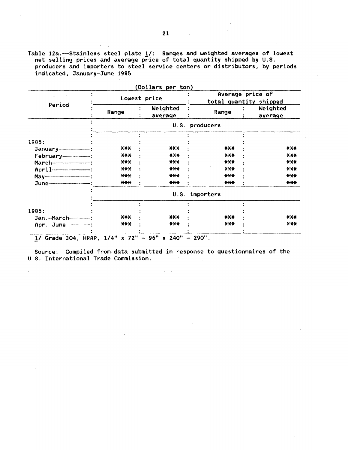Table 12a.—Stainless steel plate 1/: Ranges and weighted averages of lowest net selling prices and average price of total quantity shipped by U.S. producers and importers to steel service centers or distributors, by periods indicated, January-June 1985

| Period                | Lowest price |                     | Average price of<br>total quantity shipped |  |                     |
|-----------------------|--------------|---------------------|--------------------------------------------|--|---------------------|
|                       | Range        | Weighted<br>average | Range                                      |  | Weighted<br>average |
|                       |              |                     | U.S. producers                             |  |                     |
|                       |              |                     |                                            |  |                     |
| 1985:                 |              |                     |                                            |  |                     |
|                       | $***$        | $***$               | $***$                                      |  | $***$               |
|                       | $***$        | $***$               | $X+Y$                                      |  | $***$               |
|                       | $***$        | $***$               | $***$                                      |  | $***$               |
|                       | $***$        | $***$               | X X X                                      |  | $X+$                |
|                       | $***$        | $***$               | $***$                                      |  | $***$               |
|                       | $***$        | $***$               | $***$                                      |  | $***$               |
|                       |              |                     | U.S. importers                             |  |                     |
|                       |              |                     |                                            |  |                     |
| 1985:                 |              |                     |                                            |  |                     |
| Jan.-March----------- | $***$        | $***$               | $***$                                      |  | $***$               |
|                       | $***$        | $***$               | X X X                                      |  | $X$ $X$ $X$         |

Source: Compiled from data submitted in response to questionnaires of the U.S. International Trade Commission.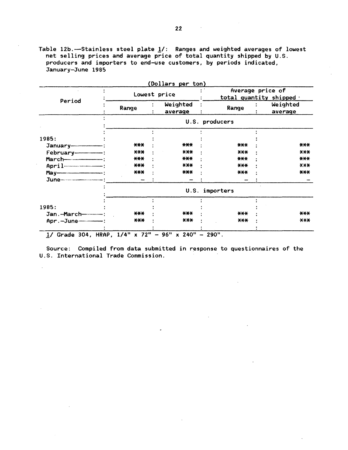Table 12b.-Stainless steel plate  $1/$ : Ranges and weighted averages of lowest net selling prices and average price of total quantity shipped by U.S. producers and importers to end-use customers, by periods indicated, January-June 1985

|                        | Lowest price |                     |                | Average price of<br>total quantity shipped . |  |  |
|------------------------|--------------|---------------------|----------------|----------------------------------------------|--|--|
| Period                 | Range        | Weighted<br>average | Range          | Weighted<br>average                          |  |  |
|                        |              |                     | U.S. producers |                                              |  |  |
|                        |              |                     |                |                                              |  |  |
| 1985:                  |              |                     |                |                                              |  |  |
|                        | $***$        | $***$               | ***            | ***                                          |  |  |
|                        | $***$        | $***$               | $***$          | X X X                                        |  |  |
|                        | $***$        | $***$               | $***$          | $***$                                        |  |  |
|                        | $***$        | $***$               | $X+X$          | <b>XXX</b>                                   |  |  |
|                        | ***          | ***                 | $***$          | $***$                                        |  |  |
|                        |              |                     |                |                                              |  |  |
|                        |              |                     | U.S. importers |                                              |  |  |
|                        |              |                     |                |                                              |  |  |
| 1985:                  |              |                     |                |                                              |  |  |
| Jan.-March------------ | $***$        | $***$               | ***            | $***$                                        |  |  |
| Apr.-June---------     | $***$        | $***$               | $X+Y$          | $***$                                        |  |  |

Source: Compiled from data submitted in response to questionnaires of the U.S. International Trade Commission.

 $\mathcal{L}$ 

 $\mathcal{A}^{\pm}$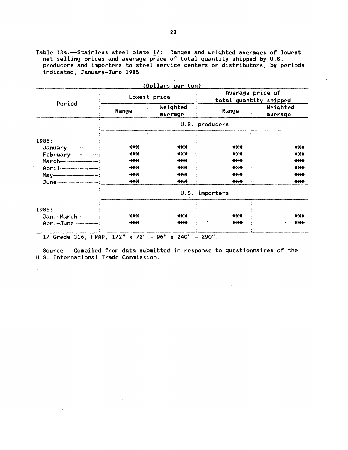Table 13a. $-$ Stainless steel plate  $\underline{\mathbf{1}}/$ : Ranges and weighted averages of lowest net selling prices and average price of total quantity shipped by U.S. producers and importers to steel service centers or distributors, by periods indicated, January-June 1985

 $\mathbf{r}$ 

 $\sim$ 

|                         | Lowest price |                     |                | Average price of<br>total quantity shipped |  |  |
|-------------------------|--------------|---------------------|----------------|--------------------------------------------|--|--|
| Period                  | Range        | Weighted<br>average | Range          | Weighted<br>average                        |  |  |
|                         |              |                     | U.S. producers |                                            |  |  |
|                         |              |                     |                |                                            |  |  |
| 1985:                   |              |                     |                |                                            |  |  |
|                         | $***$        | $***$               | $***$          | $***$                                      |  |  |
|                         | $***$        | $***$               | $X+Y$          | $X+Y$                                      |  |  |
|                         | $***$        | $***$               | $***$          | $***$                                      |  |  |
|                         | $***$        | $***$               | X X X          | X X X                                      |  |  |
|                         | $***$        | $***$               | $***$          | $***$                                      |  |  |
|                         | $***$        | ***                 | ***            | $***$                                      |  |  |
|                         |              |                     | U.S. importers |                                            |  |  |
| 1985:                   |              |                     |                |                                            |  |  |
| Jan.-March------------- | $***$        | $***$               | $***$          | $***$                                      |  |  |
|                         | $***$        | $***$               | $X$ $X$ $X$    | $X+$                                       |  |  |

1/ Grade 316, HRAP,  $1/2$ " x 72" - 96" x 240" - 290".

Source: Compiled from data submitted in response to questionnaires of the U.S. International Trade Commission.  $\sim 10^{-1}$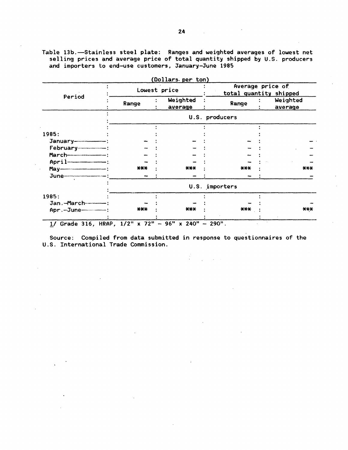Table 13b.-Stainless steel plate: Ranges and weighted averages of lowest net selling prices and average price of total quantity shipped by U.S. producers and importers to end-use customers, January-June 1985

|                                                                                                               |              | (Dollars per ton)   |                | Average price of       |
|---------------------------------------------------------------------------------------------------------------|--------------|---------------------|----------------|------------------------|
|                                                                                                               | Lowest price |                     |                | total quantity shipped |
| Period                                                                                                        | Range        | Weighted<br>average | Range          | Weighted<br>average    |
|                                                                                                               |              |                     | U.S. producers |                        |
|                                                                                                               |              |                     |                |                        |
| 1985:                                                                                                         |              |                     |                |                        |
|                                                                                                               |              |                     |                |                        |
|                                                                                                               |              |                     |                |                        |
|                                                                                                               |              |                     |                |                        |
| $April$                                                                                                       |              |                     |                |                        |
| May-11 1999 : 1999 : 1999 : 1999 : 1999 : 1999 : 1999 : 1999 : 1999 : 1999 : 1999 : 1999 : 1999 : 1999 : 1999 | ***          | $***$               | $***$          | $***$                  |
|                                                                                                               |              |                     |                |                        |
|                                                                                                               |              |                     | U.S. importers |                        |
| 1985:                                                                                                         |              |                     |                |                        |
| Jan.-March------------                                                                                        |              |                     |                |                        |
| Apr. - June-------------                                                                                      | ***          | ***                 | ***            | $***$                  |
| 1/ Grade 316, HRAP, 1/2" x 72" - 96" x 240" - 290".                                                           |              |                     |                |                        |

Source: Compiled from data submitted in response to questionnaires of the U.S. International Trade Commission.

 $\mathbb{R}^2$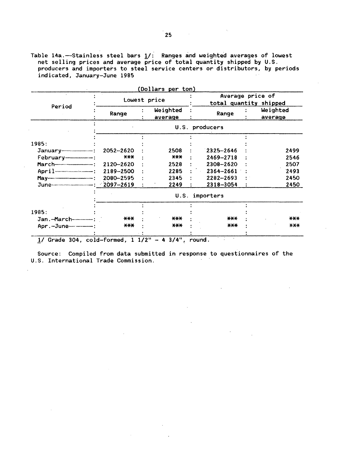Table 14a.—Stainless steel bars  $\underline{1}/\vdots$  Ranges and weighted averages of lowest net selling prices and average price of total quantity shipped by U.S. producers and importers to steel service centers or distributors, by periods indicated, January-June 1985

|             |                   | Lowest price        | Average price of<br>total quantity shipped |  |                     |
|-------------|-------------------|---------------------|--------------------------------------------|--|---------------------|
| Period      | Range             | Weighted<br>average | Range                                      |  | Weighted<br>average |
|             |                   |                     | U.S. producers                             |  |                     |
|             |                   |                     |                                            |  |                     |
| 1985:       |                   |                     |                                            |  |                     |
|             | 2052-2620         | 2508                | 2325-2646                                  |  | 2499                |
|             | $\star\star\star$ | ***                 | 2469-2718                                  |  | 2546                |
|             | 2120-2620         | 2528                | 2308-2620                                  |  | 2507                |
| $April$ $-$ | 2189-2500         | 2285                | 2364-2661                                  |  | 2493                |
|             | 2080-2595         | 2345                | $2282 - 2693$                              |  | 2450                |
|             |                   | 2249                | 2318-3054                                  |  | 2450                |
|             |                   | U.S.                | importers                                  |  |                     |
|             |                   |                     |                                            |  |                     |
| 1985:       |                   |                     |                                            |  |                     |
|             | $***$             | $***$               | ***                                        |  | ***                 |
|             | $***$             | $****$              | $***$                                      |  | $X$ $X$ $X$         |
|             |                   |                     |                                            |  |                     |

(Dollars per ton)

.!/Grade 304, cold-formed, t 1/2" - 4 3/4", round.

Source: Compiled from data submitted in response to questionnaires of the U.S. International Trade Commission.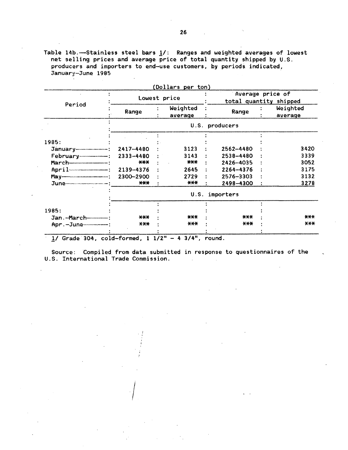Table 14b.-Stainless steel bars  $1/$ : Ranges and weighted averages of lowest net selling prices and average price of total quantity shipped by U.S. producers and importers to end-use customers, by periods indicated, January-June 1985 ·

|                            |           |                   | (Dollars per ton)   |  |                |  | Average price of       |  |  |
|----------------------------|-----------|-------------------|---------------------|--|----------------|--|------------------------|--|--|
| Period                     |           | Lowest price      |                     |  |                |  | total quantity shipped |  |  |
|                            | Range     |                   | Weighted<br>average |  | Range          |  | Weighted<br>average    |  |  |
|                            |           |                   |                     |  | U.S. producers |  |                        |  |  |
|                            |           |                   |                     |  |                |  |                        |  |  |
| 1985:                      |           |                   |                     |  |                |  |                        |  |  |
|                            | 2417-4480 |                   | 3123                |  | 2562-4480      |  | 3420                   |  |  |
|                            | 2333-4480 |                   | 3143                |  | 2538-4480      |  | 3339                   |  |  |
|                            | $***$     |                   | $***$               |  | 2426-4035      |  | 3052                   |  |  |
|                            | 2139-4376 |                   | 2645                |  | 2264-4376      |  | 3175                   |  |  |
|                            | 2300-2900 |                   | 2729                |  | 2576-3303      |  | 3132                   |  |  |
|                            | $***$     |                   | $***$               |  | 2498-4300      |  | 3278                   |  |  |
|                            |           | importers<br>U.S. |                     |  |                |  |                        |  |  |
|                            |           |                   |                     |  |                |  |                        |  |  |
| 1985:                      |           |                   |                     |  |                |  |                        |  |  |
| Jan. - March-----------    | $***$     |                   | $***$               |  | $***$          |  | $***$                  |  |  |
| Apr. - June--------------- | X X X     |                   | $****$              |  | $***$          |  | $***$                  |  |  |
|                            |           |                   |                     |  |                |  |                        |  |  |

 $\frac{1}{\sqrt{2}}$  Grade 304, cold-formed, 1 1/2" - 4 3/4", round.

. !

 $\frac{1}{2}$ 

Source: Compiled from data submitted in response to questionnaires of the U.S. International Trade Commission .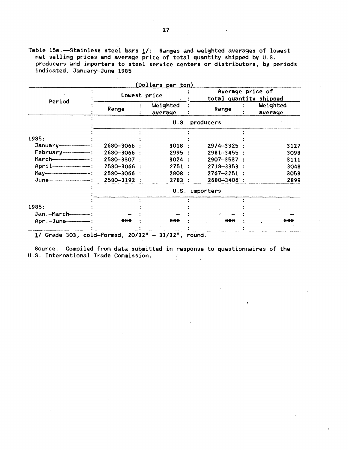Table 15a.  $-$ Stainless steel bars  $1/$ : Ranges and weighted averages of lowest net selling prices and average price of total quantity shipped by U.S. producers and importers to steel service centers or distributors, by periods indicated, January-June 1985

|                       |                | (Dollars per ton)   |                 |                                            |                     |  |
|-----------------------|----------------|---------------------|-----------------|--------------------------------------------|---------------------|--|
| Period                | Lowest price   |                     |                 | Average price of<br>total quantity shipped |                     |  |
|                       | Range          | Weighted<br>average | Range           |                                            | Weighted<br>average |  |
|                       |                |                     | U.S. producers  |                                            |                     |  |
|                       |                |                     |                 |                                            |                     |  |
| 1985:                 |                |                     |                 |                                            |                     |  |
|                       | 2680-3066      | 3018:               | $2974 - 3325$ : |                                            | 3127                |  |
| $February$ $- -$ :    | 2680-3066 :    | 2995:               | $2981 - 3455$ : |                                            | 3098                |  |
|                       | 2580-3307 :    | 3024 :              | $2907 - 3537$ : |                                            | 3111                |  |
| $April$ $-$           | 2580-3066 :    | 2751:               | 2718-3353 :     |                                            | 3048                |  |
|                       | 2580-3066 :    | 2808 :              | $2767 - 3251$   |                                            | 3058                |  |
|                       | 2580-3192 :    | 2783                | 2680-3406 :     |                                            | 2899                |  |
|                       | U.S. importers |                     |                 |                                            |                     |  |
|                       |                |                     |                 |                                            |                     |  |
| 1985:                 |                |                     |                 |                                            |                     |  |
| Jan.-March----------- |                |                     |                 |                                            |                     |  |
| $Apr.-June$ :         | $***$          | ***                 | $***$           |                                            | $***$               |  |
|                       |                |                     |                 |                                            |                     |  |

*11* Grade 303, cold-formed, 20/32" - 31/32", round.

Source: Compiled from data submitted in response to questionnaires of the U.S. International Trade Commission.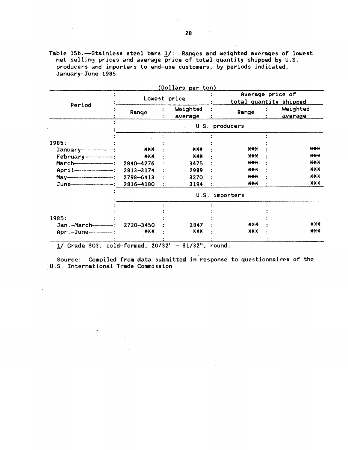Table 15b.-Stainless steel bars 1/: Ranges and weighted averages of lowest net selling prices and average price of total quantity shipped by U.S. producers and importers to end-use customers, by periods indicated, January-June 1985

|                                  | Lowest price |  | (Dollars per ton)   | Average price of<br>total quantity shipped |  |                     |
|----------------------------------|--------------|--|---------------------|--------------------------------------------|--|---------------------|
| Period                           | Range        |  | Weighted<br>average | Range                                      |  | Weighted<br>average |
|                                  |              |  |                     | U.S. producers                             |  |                     |
|                                  |              |  |                     |                                            |  |                     |
| 1985:                            |              |  |                     |                                            |  |                     |
|                                  | $***$        |  | $***$               | $***$                                      |  | $***$               |
|                                  | $***$        |  | $***$               | $***$                                      |  | $***$               |
|                                  | 2840-4276    |  | 3475                | $***$                                      |  | $***$               |
|                                  | 2813-3174    |  | 2989                | $***$                                      |  | $***$               |
|                                  | 2798-6413    |  | 3270                | $***$                                      |  | $***$               |
|                                  | 2816-4180    |  | 3194                | $***$                                      |  | $***$               |
|                                  |              |  | U.S.                | importers                                  |  |                     |
|                                  |              |  |                     |                                            |  |                     |
| 1985:                            |              |  |                     |                                            |  |                     |
| Jan.-March-----------: 2720-3450 |              |  | 2847                | $***$                                      |  | $X+X$               |
| Apr.-June--------                | $***$        |  | $***$               | $***$                                      |  | $***$               |

Source: Compiled from data submitted in response to questionnaires of the U.S. International Trade Commission.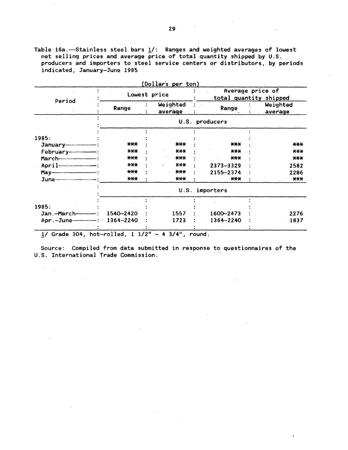Table 16a.-Stainless steel bars  $1/$ : Ranges and weighted averages of lowest net selling prices and average price of total quantity shipped by U.S. producers and importers to steel service centers or distributors, by periods indicated, January-June 1985

|                 |                      | (Dollars per ton)   |                |                                            |  |  |
|-----------------|----------------------|---------------------|----------------|--------------------------------------------|--|--|
| Period          |                      | Lowest price        |                | Average price of<br>total quantity shipped |  |  |
|                 | Range                | Weighted<br>average | Range          | Weighted<br>average                        |  |  |
|                 |                      |                     | U.S. producers |                                            |  |  |
|                 |                      |                     |                |                                            |  |  |
| 1985:           | $***$                | $***$               | $***$          | $***$                                      |  |  |
|                 | $***$                | $***$               | $***$          | $***$                                      |  |  |
|                 | $***$                | $***$               | $***$          | ***                                        |  |  |
|                 | $***$                | $***$               | 2373-3329      | 2582                                       |  |  |
| $May-$          | $***$                | $***$               | 2155-2374      | 2286                                       |  |  |
|                 | $***$                | ***                 | $+***$         | $***$                                      |  |  |
|                 |                      | U.S.                | importers      |                                            |  |  |
|                 |                      |                     |                |                                            |  |  |
| 1985:           |                      |                     |                |                                            |  |  |
| Jan.-March----- | 1540-2420            | 1557                | 1600-2473      | 2276                                       |  |  |
| Apr.-June-      | 1364-2240            | 1723                | 1364-2240      | 1837                                       |  |  |
| -               | $\sim$ $\sim$ $\sim$ | .                   |                |                                            |  |  |

 $1/$  Grade 304, hot-rolled,  $1 \frac{1}{2}$ " - 4 3/4", round.

 $\mathcal{O}(10^{10}~\mathrm{M_\odot})$ 

Source: Compiled from data submitted in response to questionnaires of the U.S. International Trade Commission.

 $\overline{1}$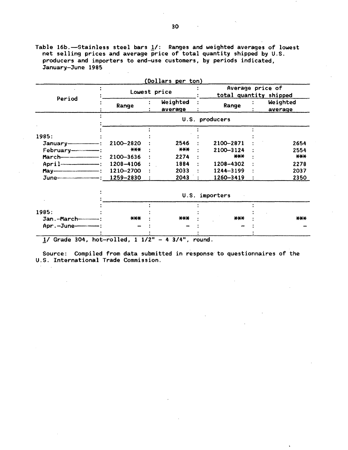Table 16b.-Stainless steel bars  $1/$ : Ranges and weighted averages of lowest net selling prices and average price of total quantity shipped by U.S. producers and importers to end-use customers, by periods indicated, January-June 1995

|                         |              | (Dollars per ton)                          |                |  |                     |
|-------------------------|--------------|--------------------------------------------|----------------|--|---------------------|
|                         | Lowest price | Average price of<br>total quantity shipped |                |  |                     |
| Period                  | Range        | Weighted<br>average                        | Range          |  | Weighted<br>average |
|                         |              |                                            | U.S. producers |  |                     |
|                         |              |                                            |                |  |                     |
| 1985:                   |              |                                            |                |  |                     |
|                         | 2100-2820    | 2546                                       | 2100-2871      |  | 2654                |
| February--------------- | $***$        | $***$                                      | 2100-3124      |  | 2554                |
|                         | 2100-3636    | 2274                                       | $***$          |  | $***$               |
|                         | 1208-4106    | 1884                                       | 1208-4302      |  | 2278                |
|                         | 1210-2700    | 2033                                       | 1244-3199      |  | 2037                |
|                         | 1259-2830    | 2043                                       | 1260-3419      |  | 2350                |
|                         |              |                                            | U.S. importers |  |                     |
|                         |              |                                            |                |  |                     |
| 1985:                   |              |                                            |                |  |                     |
| Jan.-March----------    | ***          | $***$                                      | $***$          |  | $***$               |
| Apr.-June------         |              |                                            |                |  |                     |

 $1/$  Grade 304, hot-rolled,  $1 1/2" - 4 3/4",$  round.

Source: Compiled from data submitted in response· to questionnaires of the U.S. International Trade Commission.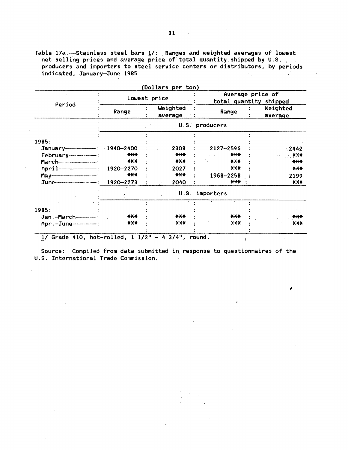Table 17a. --Stainless steel bars  $1/$ : Ranges and weighted averages of lowest net selling prices and average price of total quantity shipped by U.S. producers and importers to steel service centers or distributors, by periods indicated, January-June 1985 in 11

|                                               |           | Lowest price        | Average price of<br>total quantity shipped |  |                     |
|-----------------------------------------------|-----------|---------------------|--------------------------------------------|--|---------------------|
| Period                                        | Range     | Weighted<br>average | Range                                      |  | Weighted<br>average |
|                                               |           |                     | U.S. producers                             |  |                     |
|                                               |           |                     |                                            |  |                     |
| 1985:                                         |           |                     |                                            |  |                     |
|                                               | 1940-2400 | 2308                | 2127-2596                                  |  | 2442                |
|                                               | $***$     | $***$               | $X+Y$                                      |  | <b>XXX</b>          |
|                                               | $***$     | $***$               | $***$                                      |  | $***$               |
|                                               | 1920-2270 | 2027                | X X X                                      |  | $***$               |
|                                               | $***$     | $***$               | 1968-2258                                  |  | 2199                |
|                                               | 1920-2273 | 2040                | $***$                                      |  | $***$               |
|                                               | χ£        | U.S.                | importers                                  |  |                     |
|                                               |           |                     |                                            |  |                     |
| 1985:                                         |           |                     |                                            |  |                     |
| Jan.-March-------------                       | $***$     | $***$               | $***$                                      |  | $***$               |
|                                               | $***$     | $AA+$               | $***$                                      |  | $X+X$               |
| $1/$ Grade 410, hot-rolled, $1 \frac{1}{2}$ " |           | $4 \frac{3}{4}$ ",  |                                            |  |                     |

Source: Compiled from data submitted in response to questionnaires of the U.S. International Trade Commission.  $\sim 10$ 

I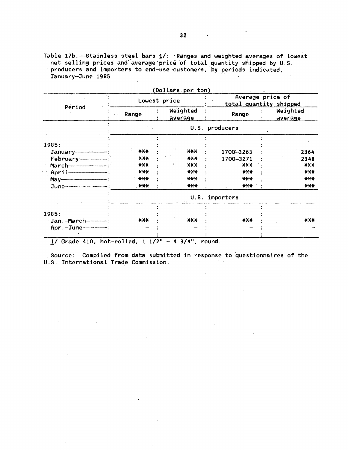Table 17b.—Stainless steel bars  $1/$ : Ranges and weighted averages of lowest<br>net selling prices and average price of total quantity shipped by U.S.<br>producers and importers to end-use customers, by periods indicated, January-June 1985

 $\cdot$ 

|                            |              | (Dollars per ton)   |           |                                            |
|----------------------------|--------------|---------------------|-----------|--------------------------------------------|
| Period                     | Lowest price |                     |           | Average price of<br>total quantity shipped |
|                            | Range        | Weighted<br>average | Range     | Weighted<br>average                        |
|                            |              | U.S.                | producers |                                            |
|                            |              |                     |           |                                            |
| 1985:                      |              |                     |           |                                            |
|                            | ***          | $***$               | 1700-3263 | 2364                                       |
|                            | $***$        | $***$               | 1700-3271 | 2348                                       |
|                            | $***$        | $***$               | $***$     | $\star\star\star$                          |
|                            | $X+Y$        | $****$              | $***$     | $***$                                      |
|                            | $***$        | $***$               | $***$     | $***$                                      |
|                            | $***$        | $***$               | $***$     | $***$                                      |
|                            |              | U.S.                | importers |                                            |
|                            |              |                     |           |                                            |
| 1985:                      |              |                     |           |                                            |
| Jan.-March---------        | $***$        | $***$               | ***       | $***$                                      |
| Apr. - June--------------- |              |                     |           |                                            |
|                            |              |                     |           |                                            |

1/ Grade 410, hot-rolled,  $1 \frac{1}{2}$  - 4 3/4", round.

Source: Compiled from data submitted in response to questionnaires of the U.S. International Trade Commission.

 $\mathcal{L}$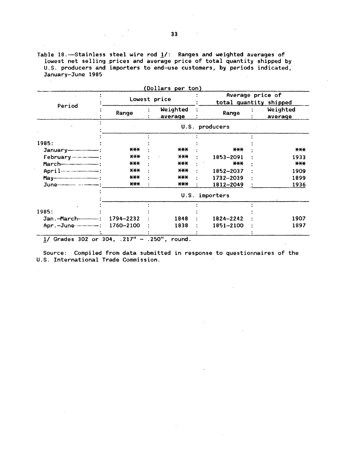Table 18. -Stainless steel wire rod  $1/$ : Ranges and weighted averages of lowest net selling prices and average price of total quantity shipped by U.S. producers and importers to end-use customers, by periods indicated, January-June 1985

|                               |            | (Dollars per ton)   |                |                                            |  |  |
|-------------------------------|------------|---------------------|----------------|--------------------------------------------|--|--|
|                               |            | Lowest price        |                | Average price of<br>total quantity shipped |  |  |
| Period                        | Range      | Weighted<br>average | Range          | Weighted<br>average                        |  |  |
|                               |            |                     | U.S. producers |                                            |  |  |
|                               |            |                     |                |                                            |  |  |
| 1985:                         |            |                     |                |                                            |  |  |
|                               | <b>***</b> | $***$               | $***$          | ***                                        |  |  |
|                               | $X^*X^*$   | $***$               | 1853-2091      | 1933                                       |  |  |
|                               | $***$      | $***$               | $***$          | $***$                                      |  |  |
|                               | $***$      | $x + x$             | 1852-2037      | 1909                                       |  |  |
|                               | $***$      | ***                 | 1732-2039      | $-1899$                                    |  |  |
|                               | $***$      | $***$               | 1812-2049      | 1936                                       |  |  |
|                               |            | U.S.                | importers      |                                            |  |  |
| 1985:                         |            |                     |                |                                            |  |  |
|                               | 1794-2232  | 1848                | 1824-2242      | 1907                                       |  |  |
| Apr. - June - 1760-2100       |            | 1838                | 1851-2100      | 1897                                       |  |  |
|                               |            |                     |                |                                            |  |  |
| 1/ Grades 302 or 304, .217" - |            | $.250"$ ,<br>round. |                |                                            |  |  |

Source: Compiled from data submitted in response to questionnaires of the U.S. International Trade Commission.

 $\sim$ 

 $\ddot{\phantom{a}}$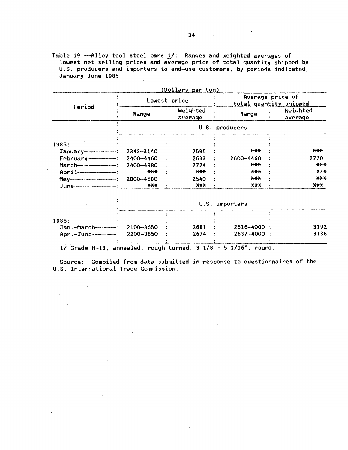Table 19.---Alloy tool steel bars  $1/$ : Ranges and weighted averages of lowest net selling prices and average price of total quantity shipped by U.S. producers and importers to end-use customers, by periods indicated, January-June 1985

 $\bar{z}$ 

 $\mathcal{A}^{\text{max}}$ 

 $\sim 10^7$ 

 $\ddot{\phantom{a}}$ 

 $\mathcal{L}^{\text{max}}_{\text{max}}$  , where  $\mathcal{L}^{\text{max}}_{\text{max}}$ 

 $\label{eq:2.1} \frac{d\mathbf{r}}{d\mathbf{r}} = \frac{1}{2\pi}\left(\frac{d\mathbf{r}}{d\mathbf{r}}\right)^2 + \frac{1}{2\pi}\left(\frac{d\mathbf{r}}{d\mathbf{r}}\right)^2.$ 

 $\sim 10^{-1}$  km

| Period               |               | Lowest price        | Average price of<br>total quantity shipped |                     |
|----------------------|---------------|---------------------|--------------------------------------------|---------------------|
|                      | Range         | Weighted<br>average | Range                                      | Weighted<br>average |
|                      |               |                     | U.S. producers                             |                     |
|                      |               |                     |                                            |                     |
| 1985:                |               |                     |                                            |                     |
|                      | $2342 - 3140$ | 2595                | $***$                                      | $***$               |
|                      | 2400-4460     | 2633                | 2600-4460                                  | 2770                |
|                      | 2400-4980     | 2724                | $***$                                      | $***$               |
|                      | $***$         | $***$               | $X+Y$                                      | $X+X$               |
| <b>May</b> ————————— | 2000-4580     | 2540                | $***$                                      | $***$               |
|                      | $***$         | $***$               | $***$                                      | $***$               |

|                                  | U.S. importers |      |  |                  |      |  |
|----------------------------------|----------------|------|--|------------------|------|--|
| 1985:                            |                |      |  |                  |      |  |
|                                  |                | 2681 |  | $12616 - 4000$ : | 3192 |  |
| $Apr. -June - - - : 2200 - 3650$ |                | 2674 |  | $2637 - 4000$ :  | 3136 |  |

 $1/$  Grade H-13, annealed, rough-turned, 3  $1/8$  - 5 1/16", round.

Source: Compiled from data submitted in response to questionnaires of the U.S. International Trade Commission.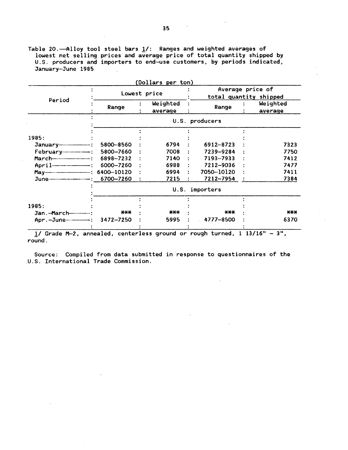Table 20.-Alloy tool steel bars 1/: Ranges and weighted averages of lowest net selling prices and average price of total quantity shipped by U.S. producers and importers to end-use customers, by periods indicated, January-June 1985

| Range                             | Lowest price<br>Weighted<br>average | Range          |                                                        | Average price of<br>total quantity shipped<br>Weighted<br>average |
|-----------------------------------|-------------------------------------|----------------|--------------------------------------------------------|-------------------------------------------------------------------|
|                                   |                                     |                |                                                        |                                                                   |
|                                   |                                     |                |                                                        |                                                                   |
|                                   |                                     | U.S. producers |                                                        |                                                                   |
|                                   |                                     |                |                                                        |                                                                   |
|                                   |                                     |                |                                                        |                                                                   |
| 5800-8560                         | 6794                                | 6912-8723      |                                                        | 7323                                                              |
| 5800-7660                         | 7008                                | 7239-9284      |                                                        | 7750                                                              |
| 6898-7232                         | 7140                                | 7193-7933      |                                                        | 7412                                                              |
| 6000-7260                         | 6988                                | 7212-9036      |                                                        | 7477                                                              |
| 6400-10120                        | 6994                                | 7050-10120     |                                                        | 7411                                                              |
| 6700-7260                         | 7215                                | 7212-7954      |                                                        | 7384                                                              |
|                                   |                                     | importers      |                                                        |                                                                   |
|                                   |                                     |                |                                                        |                                                                   |
|                                   |                                     |                |                                                        |                                                                   |
| ***                               | $***$                               | $***$          |                                                        | ***                                                               |
| Apr.-June-------------: 3472-7250 | 5995                                | 4777-8500      |                                                        | 6370                                                              |
|                                   |                                     |                | U.S.<br>boganit deuga as bourses see fastass befreezer | 1 12/160                                                          |

*11* Grade M-2., annealed, centerless ground or rough turned, 1 13/1611 round. 3",

Source: Compiled from data submitted in response to questionnaires of the U.S. International Trade Commission.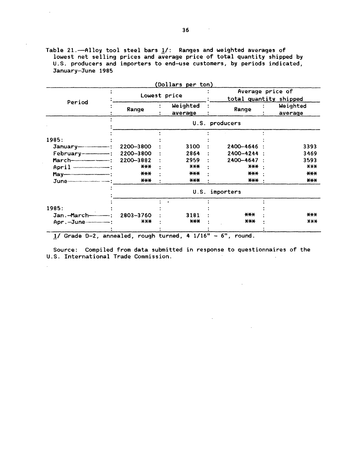Table 21. $-$ Alloy tool steel bars  $1/$ : Ranges and weighted averages of lowest net selling prices and average price of total quantity shipped by U.S. producers and importers to end-use customers, by periods indicated, January-June 1985

|                                                                                                                                                                                                                                                                                                                                      |              |  | (Dollars per ton)   |  |                                            |                     |  |
|--------------------------------------------------------------------------------------------------------------------------------------------------------------------------------------------------------------------------------------------------------------------------------------------------------------------------------------|--------------|--|---------------------|--|--------------------------------------------|---------------------|--|
|                                                                                                                                                                                                                                                                                                                                      | Lowest price |  |                     |  | Average price of<br>total quantity shipped |                     |  |
| Period                                                                                                                                                                                                                                                                                                                               | Range        |  | Weighted<br>average |  | Range                                      | Weighted<br>average |  |
|                                                                                                                                                                                                                                                                                                                                      |              |  |                     |  | U.S. producers                             |                     |  |
|                                                                                                                                                                                                                                                                                                                                      |              |  |                     |  |                                            |                     |  |
| 1985:                                                                                                                                                                                                                                                                                                                                |              |  |                     |  |                                            |                     |  |
| $January$ $\cdots$ $\cdots$ $\cdots$ $\cdots$ $\cdots$ $\cdots$ $\cdots$ $\cdots$ $\cdots$ $\cdots$ $\cdots$ $\cdots$ $\cdots$ $\cdots$ $\cdots$ $\cdots$ $\cdots$ $\cdots$ $\cdots$ $\cdots$ $\cdots$ $\cdots$ $\cdots$ $\cdots$ $\cdots$ $\cdots$ $\cdots$ $\cdots$ $\cdots$ $\cdots$ $\cdots$ $\cdots$ $\cdots$ $\cdots$ $\cdots$ | 2200-3800    |  | 3100                |  | 2400-4646                                  | 3393                |  |
|                                                                                                                                                                                                                                                                                                                                      | 2200-3800    |  | 2864                |  | 2400-4244                                  | 3469                |  |
|                                                                                                                                                                                                                                                                                                                                      | 2200-3882    |  | 2959                |  | 2400-4647                                  | 3593                |  |
| $April$                                                                                                                                                                                                                                                                                                                              | $***$        |  | $***$               |  | $X+$                                       | $X$ $X$ $X$         |  |
|                                                                                                                                                                                                                                                                                                                                      | $***$        |  | $***$               |  | $***$                                      | $***$               |  |
|                                                                                                                                                                                                                                                                                                                                      | $***$        |  | $***$               |  | $***$                                      | $***$               |  |
|                                                                                                                                                                                                                                                                                                                                      |              |  | U.S.                |  | importers                                  |                     |  |
| 1985:                                                                                                                                                                                                                                                                                                                                |              |  |                     |  |                                            |                     |  |
|                                                                                                                                                                                                                                                                                                                                      | 2803-3760    |  | 3181                |  | $***$                                      | $***$               |  |
| Apr.-June----------                                                                                                                                                                                                                                                                                                                  | $X$ $X$ $X$  |  | $***$               |  | $***$                                      | X X X               |  |
|                                                                                                                                                                                                                                                                                                                                      |              |  |                     |  |                                            |                     |  |

1/ Grade D-2, annealed, rough turned, 4 1/16" - 6", round.

 $\bar{z}$ 

Source: Compiled from data submitted in response to questionnaires of the U.S. International Trade Commission.

 $\mathbf{r}$ 

 $\sim$   $\sim$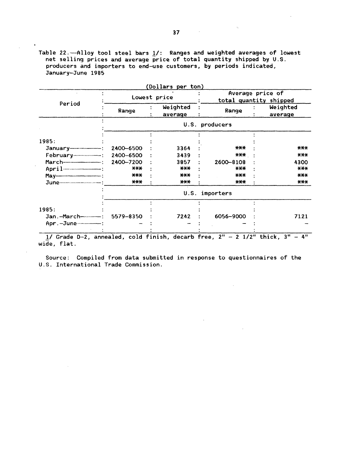Table 22.  $-$ Alloy tool steel bars  $1/$ : Ranges and weighted averages of lowest net selling prices and average price of total quantity shipped by U.S. producers and importers to end-use customers, by periods indicated, January-June 1985

|                            |           | Lowest price        | (Dollars per ton) | Average price of<br>total quantity shipped |                     |  |
|----------------------------|-----------|---------------------|-------------------|--------------------------------------------|---------------------|--|
| Period                     | Range     | Weighted<br>average |                   | Range                                      | Weighted<br>average |  |
|                            |           |                     |                   | U.S. producers                             |                     |  |
|                            |           |                     |                   |                                            |                     |  |
| 1985:                      | 2400-6500 | 3364                |                   | $***$                                      | $***$               |  |
|                            | 2400-6500 | 3439                |                   | $***$                                      | $***$               |  |
|                            | 2400-7200 | 3857                |                   | 2600-8108                                  | 4300                |  |
|                            | $***$     | $***$               |                   | $***$                                      | $X+X$               |  |
|                            | $***$     | $***$               |                   | $***$                                      | $***$               |  |
|                            | $***$     | $***$               |                   | $***$                                      | $***$               |  |
|                            |           | U.S.                |                   | importers                                  |                     |  |
|                            |           |                     |                   |                                            |                     |  |
| 1985:                      |           |                     |                   |                                            |                     |  |
|                            | 5579-8350 | 7242                |                   | 6056-9000                                  | 7121                |  |
| Apr. - June--------------- |           |                     |                   |                                            |                     |  |

 $\frac{1}{2}$  wide, flat.

Source: Compiled from data submitted in response to questionnaires of the U.S. International Trade Commission.

 $\sim 10$ 

 $\hat{\beta}_k$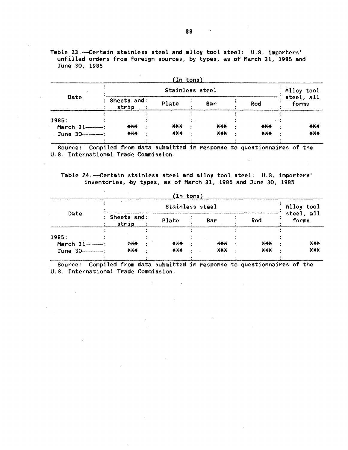Table 23.---Certain stainless steel and alloy tool steel: U.S. importers' unfilled orders from foreign sources, by types, as of March 31, 1985 and June 30, 1985

|                           |                        | (In tons)  |       |        |                     |
|---------------------------|------------------------|------------|-------|--------|---------------------|
|                           |                        | Alloy tool |       |        |                     |
| Date                      | : Sheets and:<br>strip | Plate      | Bar   | Rod    | steel, all<br>forms |
| 1985:<br>March $31$ ----- | $***$                  | $***$      | ***   | $***$  | $***$               |
| June 30-10-2010           | $***$                  | $***$      | $***$ | $AA +$ | $***$               |

Source: Compiled from data submitted in response to questionnaires of the U.S. International Trade Commission.

Table 24.--Certain stainless steel and alloy tool steel: U.S. importers' inventories, by types, as of March 31, 1985 and June 30, 1985

 $\alpha$ 

| (In tons)   |                        |        |       |       |                     |
|-------------|------------------------|--------|-------|-------|---------------------|
| Date        | Stainless steel        |        |       |       | Alloy tool          |
|             | : Sheets and:<br>strip | Plate  | Bar   | Rod   | steel, all<br>forms |
|             |                        |        |       |       |                     |
| 1985:       |                        |        |       |       |                     |
| March 31-1: | $****$                 | $AA +$ | $***$ | $***$ | $***$               |
|             | $***$                  | $***$  | $***$ | ***   | $***$               |
|             |                        |        |       |       |                     |

Source: Compiled from data submitted in response to questionnaires of the U.S. International Trade Commission.

 $\sim$ 

 $\mathcal{L}^{\mathcal{L}}$ 

 $\mathcal{L}_{\mathrm{eff}}$